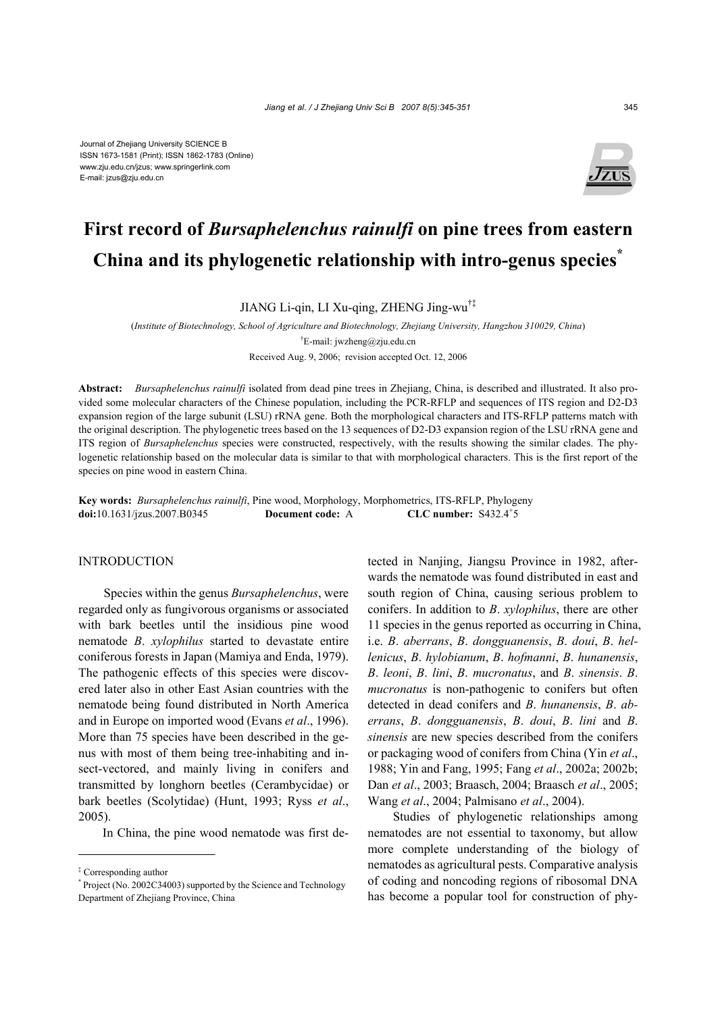

# **First record of** *Bursaphelenchus rainulfi* **on pine trees from eastern China and its phylogenetic relationship with intro-genus species\***

JIANG Li-qin, LI Xu-qing, ZHENG Jing-wu†‡

(*Institute of Biotechnology, School of Agriculture and Biotechnology, Zhejiang University, Hangzhou 310029, China*) † E-mail: jwzheng@zju.edu.cn

Received Aug. 9, 2006; revision accepted Oct. 12, 2006

**Abstract:** *Bursaphelenchus rainulfi* isolated from dead pine trees in Zhejiang, China, is described and illustrated. It also provided some molecular characters of the Chinese population, including the PCR-RFLP and sequences of ITS region and D2-D3 expansion region of the large subunit (LSU) rRNA gene. Both the morphological characters and ITS-RFLP patterns match with the original description. The phylogenetic trees based on the 13 sequences of D2-D3 expansion region of the LSU rRNA gene and ITS region of *Bursaphelenchus* species were constructed, respectively, with the results showing the similar clades. The phylogenetic relationship based on the molecular data is similar to that with morphological characters. This is the first report of the species on pine wood in eastern China.

**Key words:** *Bursaphelenchus rainulfi*, Pine wood, Morphology, Morphometrics, ITS-RFLP, Phylogeny **doi:**10.1631/jzus.2007.B0345 **Document code:** A CLC number:  $S432.4^{+}5$ 

# INTRODUCTION

Species within the genus *Bursaphelenchus*, were regarded only as fungivorous organisms or associated with bark beetles until the insidious pine wood nematode *B*. *xylophilus* started to devastate entire coniferous forests in Japan (Mamiya and Enda, 1979). The pathogenic effects of this species were discovered later also in other East Asian countries with the nematode being found distributed in North America and in Europe on imported wood (Evans *et al*., 1996). More than 75 species have been described in the genus with most of them being tree-inhabiting and insect-vectored, and mainly living in conifers and transmitted by longhorn beetles (Cerambycidae) or bark beetles (Scolytidae) (Hunt, 1993; Ryss *et al*., 2005).

In China, the pine wood nematode was first de-

tected in Nanjing, Jiangsu Province in 1982, afterwards the nematode was found distributed in east and south region of China, causing serious problem to conifers. In addition to *B*. *xylophilus*, there are other 11 species in the genus reported as occurring in China, i.e. *B*. *aberrans*, *B*. *dongguanensis*, *B*. *doui*, *B*. *hellenicus*, *B*. *hylobianum*, *B*. *hofmanni*, *B*. *hunanensis*, *B*. *leoni*, *B*. *lini*, *B*. *mucronatus*, and *B*. *sinensis*. *B*. *mucronatus* is non-pathogenic to conifers but often detected in dead conifers and *B*. *hunanensis*, *B*. *aberrans*, *B*. *dongguanensis*, *B*. *doui*, *B*. *lini* and *B*. *sinensis* are new species described from the conifers or packaging wood of conifers from China (Yin *et al*., 1988; Yin and Fang, 1995; Fang *et al*., 2002a; 2002b; Dan *et al*., 2003; Braasch, 2004; Braasch *et al*., 2005; Wang *et al*., 2004; Palmisano *et al*., 2004).

Studies of phylogenetic relationships among nematodes are not essential to taxonomy, but allow more complete understanding of the biology of nematodes as agricultural pests. Comparative analysis of coding and noncoding regions of ribosomal DNA has become a popular tool for construction of phy-

<sup>‡</sup> Corresponding author

<sup>\*</sup> Project (No. 2002C34003) supported by the Science and Technology Department of Zhejiang Province, China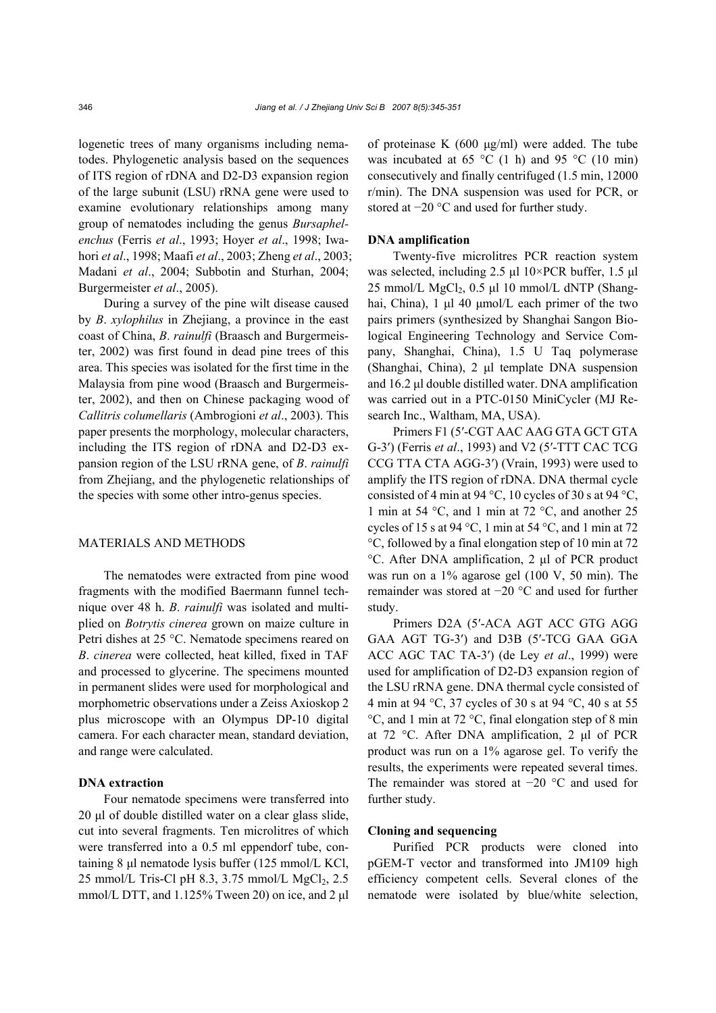logenetic trees of many organisms including nematodes. Phylogenetic analysis based on the sequences of ITS region of rDNA and D2-D3 expansion region of the large subunit (LSU) rRNA gene were used to examine evolutionary relationships among many group of nematodes including the genus *Bursaphelenchus* (Ferris *et al*., 1993; Hoyer *et al*., 1998; Iwahori *et al*., 1998; Maafi *et al*., 2003; Zheng *et al*., 2003; Madani *et al*., 2004; Subbotin and Sturhan, 2004; Burgermeister *et al*., 2005).

During a survey of the pine wilt disease caused by *B*. *xylophilus* in Zhejiang, a province in the east coast of China, *B*. *rainulfi* (Braasch and Burgermeister, 2002) was first found in dead pine trees of this area. This species was isolated for the first time in the Malaysia from pine wood (Braasch and Burgermeister, 2002), and then on Chinese packaging wood of *Callitris columellaris* (Ambrogioni *et al*., 2003). This paper presents the morphology, molecular characters, including the ITS region of rDNA and D2-D3 expansion region of the LSU rRNA gene, of *B*. *rainulfi*  from Zhejiang, and the phylogenetic relationships of the species with some other intro-genus species.

### MATERIALS AND METHODS

The nematodes were extracted from pine wood fragments with the modified Baermann funnel technique over 48 h. *B*. *rainulfi* was isolated and multiplied on *Botrytis cinerea* grown on maize culture in Petri dishes at 25 °C. Nematode specimens reared on *B*. *cinerea* were collected, heat killed, fixed in TAF and processed to glycerine. The specimens mounted in permanent slides were used for morphological and morphometric observations under a Zeiss Axioskop 2 plus microscope with an Olympus DP-10 digital camera. For each character mean, standard deviation, and range were calculated.

## **DNA extraction**

Four nematode specimens were transferred into 20 µl of double distilled water on a clear glass slide, cut into several fragments. Ten microlitres of which were transferred into a 0.5 ml eppendorf tube, containing 8 µl nematode lysis buffer (125 mmol/L KCl, 25 mmol/L Tris-Cl pH 8.3, 3.75 mmol/L  $MgCl<sub>2</sub>$ , 2.5 mmol/L DTT, and 1.125% Tween 20) on ice, and 2 µl

of proteinase K  $(600 \text{ µg/ml})$  were added. The tube was incubated at 65  $\degree$ C (1 h) and 95  $\degree$ C (10 min) consecutively and finally centrifuged (1.5 min, 12000 r/min). The DNA suspension was used for PCR, or stored at −20 °C and used for further study.

## **DNA amplification**

Twenty-five microlitres PCR reaction system was selected, including 2.5 µl 10×PCR buffer, 1.5 µl 25 mmol/L  $MgCl<sub>2</sub>$ , 0.5 µl 10 mmol/L dNTP (Shanghai, China), 1 µl 40 µmol/L each primer of the two pairs primers (synthesized by Shanghai Sangon Biological Engineering Technology and Service Company, Shanghai, China), 1.5 U Taq polymerase (Shanghai, China), 2 µl template DNA suspension and 16.2 µl double distilled water. DNA amplification was carried out in a PTC-0150 MiniCycler (MJ Research Inc., Waltham, MA, USA).

Primers F1 (5′-CGT AAC AAG GTA GCT GTA G-3′) (Ferris *et al*., 1993) and V2 (5′-TTT CAC TCG CCG TTA CTA AGG-3′) (Vrain, 1993) were used to amplify the ITS region of rDNA. DNA thermal cycle consisted of 4 min at 94 °C, 10 cycles of 30 s at 94 °C, 1 min at 54 °C, and 1 min at 72 °C, and another 25 cycles of 15 s at 94 °C, 1 min at 54 °C, and 1 min at 72 °C, followed by a final elongation step of 10 min at 72 °C. After DNA amplification, 2 µl of PCR product was run on a 1% agarose gel (100 V, 50 min). The remainder was stored at −20 °C and used for further study.

Primers D2A (5′-ACA AGT ACC GTG AGG GAA AGT TG-3′) and D3B (5′-TCG GAA GGA ACC AGC TAC TA-3′) (de Ley *et al*., 1999) were used for amplification of D2-D3 expansion region of the LSU rRNA gene. DNA thermal cycle consisted of 4 min at 94 °C, 37 cycles of 30 s at 94 °C, 40 s at 55 °C, and 1 min at 72 °C, final elongation step of 8 min at 72 °C. After DNA amplification, 2 µl of PCR product was run on a 1% agarose gel. To verify the results, the experiments were repeated several times. The remainder was stored at −20 °C and used for further study.

### **Cloning and sequencing**

Purified PCR products were cloned into pGEM-T vector and transformed into JM109 high efficiency competent cells. Several clones of the nematode were isolated by blue/white selection,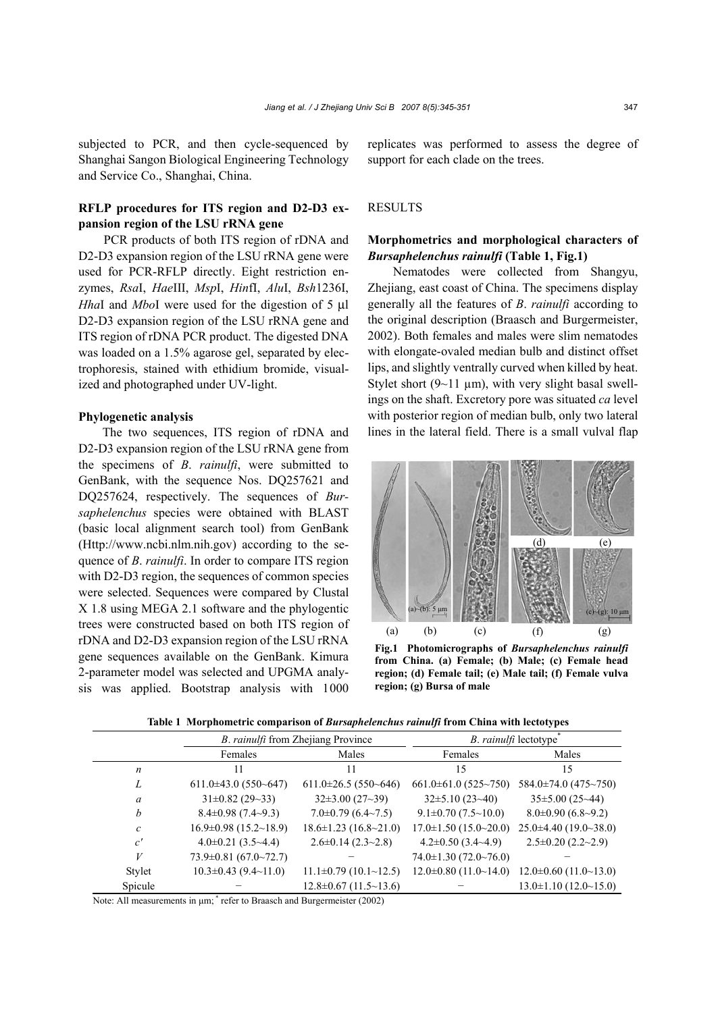subjected to PCR, and then cycle-sequenced by Shanghai Sangon Biological Engineering Technology and Service Co., Shanghai, China.

# **RFLP procedures for ITS region and D2-D3 expansion region of the LSU rRNA gene**

PCR products of both ITS region of rDNA and D2-D3 expansion region of the LSU rRNA gene were used for PCR-RFLP directly. Eight restriction enzymes, *Rsa*I, *Hae*III, *Msp*I, *Hin*fI, *Alu*I, *Bsh*1236I, *Hha*I and *Mbo*I were used for the digestion of 5 µl D2-D3 expansion region of the LSU rRNA gene and ITS region of rDNA PCR product. The digested DNA was loaded on a 1.5% agarose gel, separated by electrophoresis, stained with ethidium bromide, visualized and photographed under UV-light.

## **Phylogenetic analysis**

The two sequences, ITS region of rDNA and D2-D3 expansion region of the LSU rRNA gene from the specimens of *B*. *rainulfi*, were submitted to GenBank, with the sequence Nos. DQ257621 and DQ257624, respectively. The sequences of *Bursaphelenchus* species were obtained with BLAST (basic local alignment search tool) from GenBank (Http://www.ncbi.nlm.nih.gov) according to the sequence of *B*. *rainulfi*. In order to compare ITS region with D2-D3 region, the sequences of common species were selected. Sequences were compared by Clustal X 1.8 using MEGA 2.1 software and the phylogentic trees were constructed based on both ITS region of rDNA and D2-D3 expansion region of the LSU rRNA gene sequences available on the GenBank. Kimura 2-parameter model was selected and UPGMA analysis was applied. Bootstrap analysis with 1000 replicates was performed to assess the degree of support for each clade on the trees.

## **RESULTS**

# **Morphometrics and morphological characters of**  *Bursaphelenchus rainulfi* **(Table 1, Fig.1)**

Nematodes were collected from Shangyu, Zhejiang, east coast of China. The specimens display generally all the features of *B*. *rainulfi* according to the original description (Braasch and Burgermeister, 2002). Both females and males were slim nematodes with elongate-ovaled median bulb and distinct offset lips, and slightly ventrally curved when killed by heat. Stylet short  $(9~11 \mu m)$ , with very slight basal swellings on the shaft. Excretory pore was situated *ca* level with posterior region of median bulb, only two lateral lines in the lateral field. There is a small vulval flap



**Fig.1 Photomicrographs of** *Bursaphelenchus rainulfi* **from China. (a) Female; (b) Male; (c) Female head region; (d) Female tail; (e) Male tail; (f) Female vulva region; (g) Bursa of male**

|  |  | Table 1 Morphometric comparison of Bursaphelenchus rainulfi from China with lectotypes |
|--|--|----------------------------------------------------------------------------------------|
|  |  |                                                                                        |

|                  |                             | B. rainulfi from Zhejiang Province | <i>B. rainulfi</i> lectotype |                             |  |  |
|------------------|-----------------------------|------------------------------------|------------------------------|-----------------------------|--|--|
|                  | Females                     | Males                              | Females                      | Males                       |  |  |
| $\boldsymbol{n}$ | 11                          | 11                                 | 15                           | 15                          |  |  |
| L                | $611.0\pm43.0$ (550~647)    | $611.0\pm 26.5(550-646)$           | $661.0\pm 61.0$ (525~750)    | $584.0\pm74.0$ (475~750)    |  |  |
| a                | $31\pm0.82$ (29~33)         | $32\pm3.00(27\sim39)$              | $32\pm5.10(23\sim40)$        | $35\pm5.00(25-44)$          |  |  |
| b                | $8.4\pm0.98(7.4\sim9.3)$    | $7.0\pm0.79(6.4\sim7.5)$           | $9.1\pm0.70(7.5\sim10.0)$    | $8.0\pm0.90(6.8\sim9.2)$    |  |  |
| $\mathcal{C}$    | $16.9\pm0.98(15.2\sim18.9)$ | $18.6 \pm 1.23$ (16.8~21.0)        | $17.0 \pm 1.50$ (15.0~20.0)  | $25.0\pm4.40(19.0\sim38.0)$ |  |  |
| c'               | $4.0\pm0.21$ (3.5~4.4)      | $2.6\pm0.14(2.3\sim2.8)$           | $4.2\pm0.50(3.4\sim4.9)$     | $2.5\pm0.20(2.2\sim2.9)$    |  |  |
| V                | $73.9\pm0.81(67.0\sim72.7)$ |                                    | $74.0 \pm 1.30$ (72.0~76.0)  |                             |  |  |
| Stylet           | $10.3 \pm 0.43$ (9.4~11.0)  | $11.1\pm0.79$ (10.1~12.5)          | $12.0\pm0.80(11.0\sim14.0)$  | $12.0\pm0.60$ (11.0~13.0)   |  |  |
| Spicule          |                             | $12.8\pm0.67(11.5\sim13.6)$        |                              | $13.0\pm1.10(12.0\sim15.0)$ |  |  |

Note: All measurements in  $\mu$ m; \* refer to Braasch and Burgermeister (2002)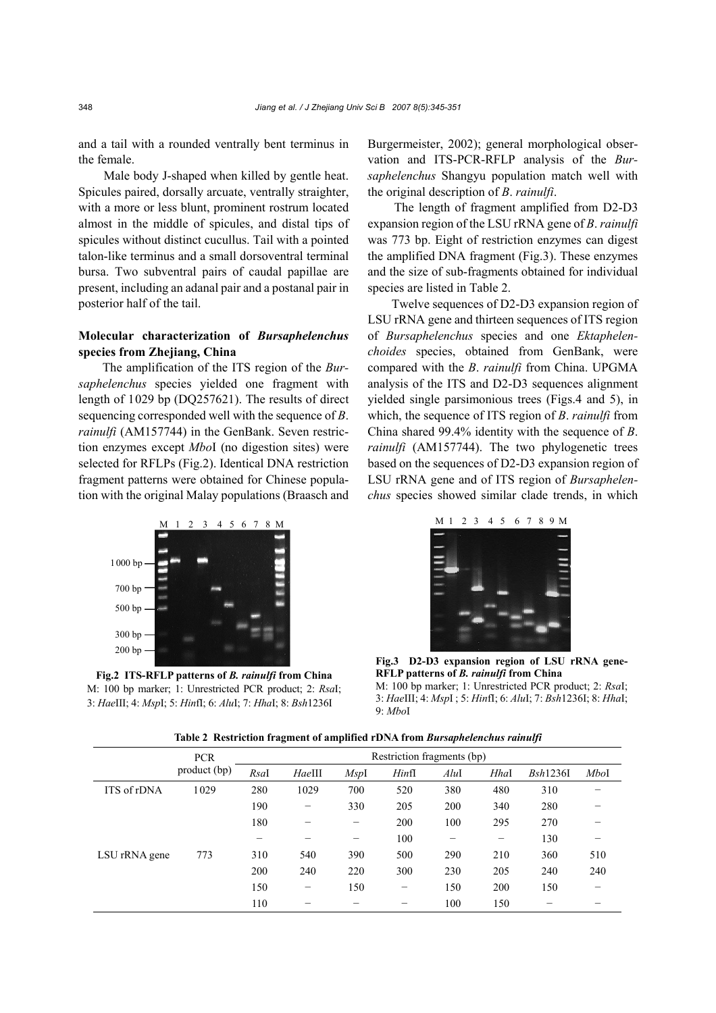and a tail with a rounded ventrally bent terminus in the female.

Male body J-shaped when killed by gentle heat. Spicules paired, dorsally arcuate, ventrally straighter, with a more or less blunt, prominent rostrum located almost in the middle of spicules, and distal tips of spicules without distinct cucullus. Tail with a pointed talon-like terminus and a small dorsoventral terminal bursa. Two subventral pairs of caudal papillae are present, including an adanal pair and a postanal pair in posterior half of the tail.

# **Molecular characterization of** *Bursaphelenchus* **species from Zhejiang, China**

The amplification of the ITS region of the *Bursaphelenchus* species yielded one fragment with length of 1029 bp (DQ257621). The results of direct sequencing corresponded well with the sequence of *B*. *rainulfi* (AM157744) in the GenBank. Seven restriction enzymes except *Mbo*I (no digestion sites) were selected for RFLPs (Fig.2). Identical DNA restriction fragment patterns were obtained for Chinese population with the original Malay populations (Braasch and



**Fig.2 ITS-RFLP patterns of** *B. rainulfi* **from China** M: 100 bp marker; 1: Unrestricted PCR product; 2: *Rsa*I; 3: *Hae*III; 4: *Msp*I; 5: *Hin*fI; 6: *Alu*I; 7: *Hha*I; 8: *Bsh*1236I

Burgermeister, 2002); general morphological observation and ITS-PCR-RFLP analysis of the *Bursaphelenchus* Shangyu population match well with the original description of *B*. *rainulfi*.

The length of fragment amplified from D2-D3 expansion region of the LSU rRNA gene of *B*. *rainulfi* was 773 bp. Eight of restriction enzymes can digest the amplified DNA fragment (Fig.3). These enzymes and the size of sub-fragments obtained for individual species are listed in Table 2.

Twelve sequences of D2-D3 expansion region of LSU rRNA gene and thirteen sequences of ITS region of *Bursaphelenchus* species and one *Ektaphelenchoides* species, obtained from GenBank, were compared with the *B*. *rainulfi* from China. UPGMA analysis of the ITS and D2-D3 sequences alignment yielded single parsimonious trees (Figs.4 and 5), in which, the sequence of ITS region of *B*. *rainulfi* from China shared 99.4% identity with the sequence of *B*. *rainulfi* (AM157744). The two phylogenetic trees based on the sequences of D2-D3 expansion region of LSU rRNA gene and of ITS region of *Bursaphelenchus* species showed similar clade trends, in which



**Fig.3 D2-D3 expansion region of LSU rRNA gene-RFLP patterns of** *B. rainulfi* **from China**  M: 100 bp marker; 1: Unrestricted PCR product; 2: *Rsa*I; 3: *Hae*III; 4: *Msp*I ; 5: *Hin*fI; 6: *Alu*I; 7: *Bsh*1236I; 8: *Hha*I;

|  |  | Table 2 Restriction fragment of amplified rDNA from Bursaphelenchus rainulfi |  |  |
|--|--|------------------------------------------------------------------------------|--|--|
|  |  |                                                                              |  |  |

 $9 \cdot MboI$ 

|               | <b>PCR</b>   | Restriction fragments (bp) |        |             |       |      |      |          |      |
|---------------|--------------|----------------------------|--------|-------------|-------|------|------|----------|------|
|               | product (bp) | RsaI                       | HaeIII | <i>MspI</i> | HintI | Alul | Hhal | Bsh1236I | MboI |
| ITS of rDNA   | 1029         | 280                        | 1029   | 700         | 520   | 380  | 480  | 310      |      |
|               |              | 190                        | -      | 330         | 205   | 200  | 340  | 280      |      |
|               |              | 180                        |        | —           | 200   | 100  | 295  | 270      |      |
|               |              |                            |        |             | 100   |      |      | 130      |      |
| LSU rRNA gene | 773          | 310                        | 540    | 390         | 500   | 290  | 210  | 360      | 510  |
|               |              | 200                        | 240    | 220         | 300   | 230  | 205  | 240      | 240  |
|               |              | 150                        | -      | 150         | -     | 150  | 200  | 150      |      |
|               |              | 110                        |        |             |       | 100  | 150  |          |      |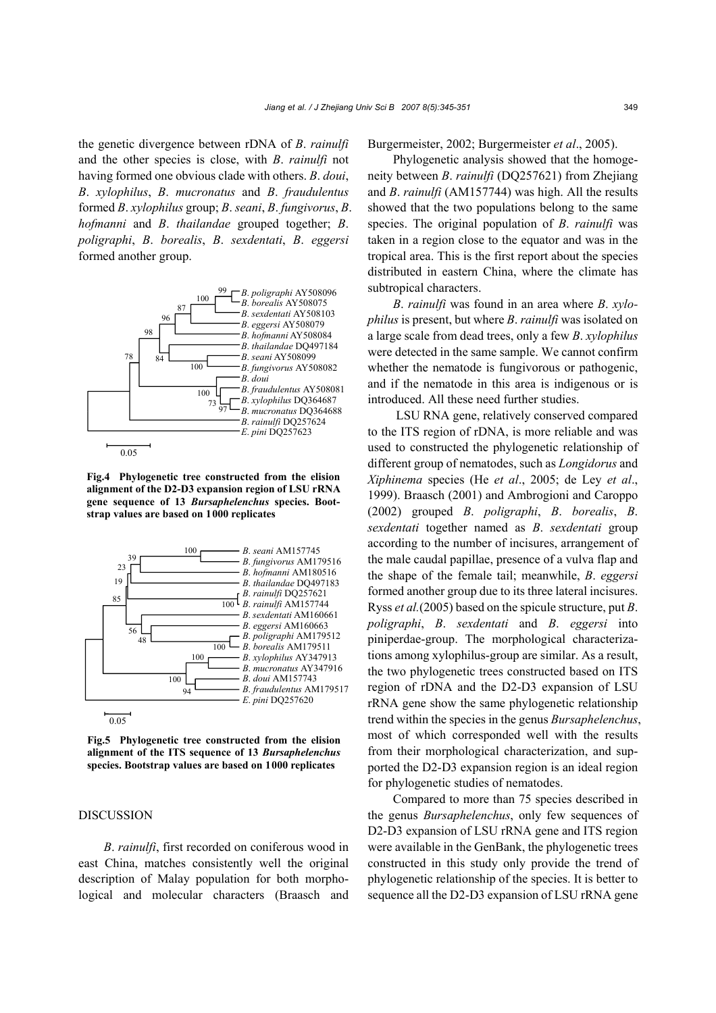the genetic divergence between rDNA of *B*. *rainulfi* and the other species is close, with *B*. *rainulfi* not having formed one obvious clade with others. *B*. *doui*, *B*. *xylophilus*, *B*. *mucronatus* and *B*. *fraudulentus* formed *B*. *xylophilus* group; *B*. *seani*, *B*. *fungivorus*, *B*. *hofmanni* and *B*. *thailandae* grouped together; *B*. *poligraphi*, *B*. *borealis*, *B*. *sexdentati*, *B*. *eggersi* formed another group.



**Fig.4 Phylogenetic tree constructed from the elision alignment of the D2-D3 expansion region of LSU rRNA gene sequence of 13** *Bursaphelenchus* **species. Bootstrap values are based on 1000 replicates**



**Fig.5 Phylogenetic tree constructed from the elision alignment of the ITS sequence of 13** *Bursaphelenchus* **species. Bootstrap values are based on 1000 replicates**

## DISCUSSION

*B*. *rainulfi*, first recorded on coniferous wood in east China, matches consistently well the original description of Malay population for both morphological and molecular characters (Braasch and Burgermeister, 2002; Burgermeister *et al*., 2005).

Phylogenetic analysis showed that the homogeneity between *B*. *rainulfi* (DQ257621) from Zhejiang and *B*. *rainulfi* (AM157744) was high. All the results showed that the two populations belong to the same species. The original population of *B*. *rainulfi* was taken in a region close to the equator and was in the tropical area. This is the first report about the species distributed in eastern China, where the climate has subtropical characters.

*B*. *rainulfi* was found in an area where *B*. *xylophilus* is present, but where *B*. *rainulfi* was isolated on a large scale from dead trees, only a few *B*. *xylophilus* were detected in the same sample. We cannot confirm whether the nematode is fungivorous or pathogenic, and if the nematode in this area is indigenous or is introduced. All these need further studies.

 LSU RNA gene, relatively conserved compared to the ITS region of rDNA, is more reliable and was used to constructed the phylogenetic relationship of different group of nematodes, such as *Longidorus* and *Xiphinema* species (He *et al*., 2005; de Ley *et al*., 1999). Braasch (2001) and Ambrogioni and Caroppo (2002) grouped *B*. *poligraphi*, *B*. *borealis*, *B*. *sexdentati* together named as *B*. *sexdentati* group according to the number of incisures, arrangement of the male caudal papillae, presence of a vulva flap and the shape of the female tail; meanwhile, *B*. *eggersi*  formed another group due to its three lateral incisures. Ryss *et al.*(2005) based on the spicule structure, put *B*. *poligraphi*, *B*. *sexdentati* and *B*. *eggersi* into piniperdae-group. The morphological characterizations among xylophilus-group are similar. As a result, the two phylogenetic trees constructed based on ITS region of rDNA and the D2-D3 expansion of LSU rRNA gene show the same phylogenetic relationship trend within the species in the genus *Bursaphelenchus*, most of which corresponded well with the results from their morphological characterization, and supported the D2-D3 expansion region is an ideal region for phylogenetic studies of nematodes.

Compared to more than 75 species described in the genus *Bursaphelenchus*, only few sequences of D2-D3 expansion of LSU rRNA gene and ITS region were available in the GenBank, the phylogenetic trees constructed in this study only provide the trend of phylogenetic relationship of the species. It is better to sequence all the D2-D3 expansion of LSU rRNA gene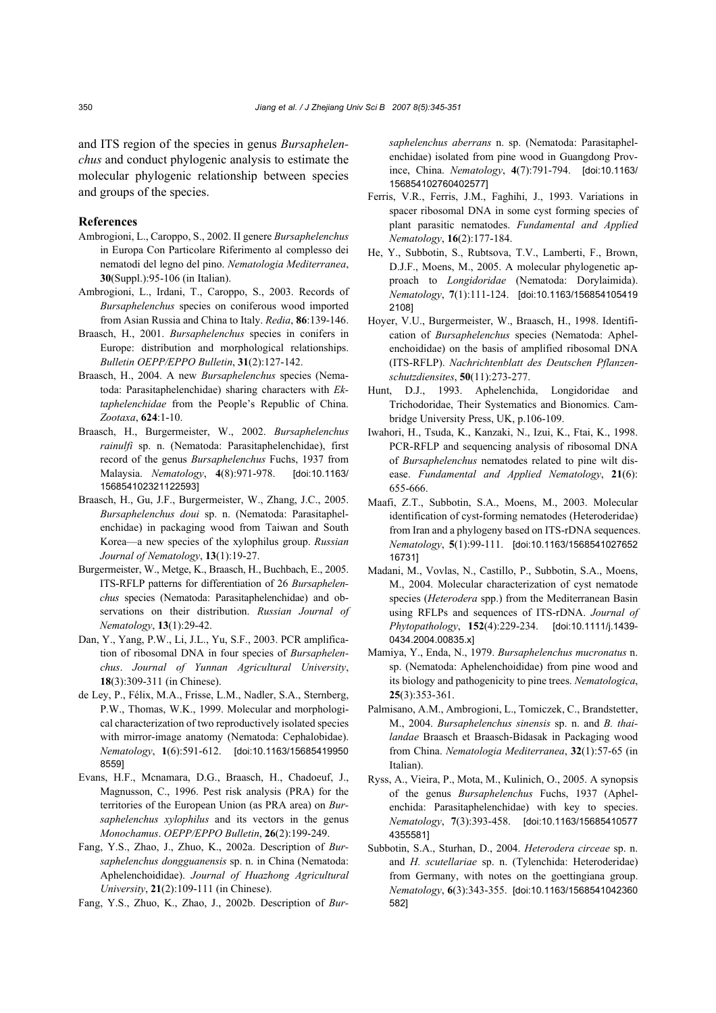and ITS region of the species in genus *Bursaphelenchus* and conduct phylogenic analysis to estimate the molecular phylogenic relationship between species and groups of the species.

#### **References**

- Ambrogioni, L., Caroppo, S., 2002. II genere *Bursaphelenchus* in Europa Con Particolare Riferimento al complesso dei nematodi del legno del pino. *Nematologia Mediterranea*, **30**(Suppl.):95-106 (in Italian).
- Ambrogioni, L., Irdani, T., Caroppo, S., 2003. Records of *Bursaphelenchus* species on coniferous wood imported from Asian Russia and China to Italy. *Redia*, **86**:139-146.
- Braasch, H., 2001. *Bursaphelenchus* species in conifers in Europe: distribution and morphological relationships. *Bulletin OEPP/EPPO Bulletin*, **31**(2):127-142.
- Braasch, H., 2004. A new *Bursaphelenchus* species (Nematoda: Parasitaphelenchidae) sharing characters with *Ektaphelenchidae* from the People's Republic of China. *Zootaxa*, **624**:1-10.
- Braasch, H., Burgermeister, W., 2002. *Bursaphelenchus rainulfi* sp. n. (Nematoda: Parasitaphelenchidae), first record of the genus *Bursaphelenchus* Fuchs, 1937 from Malaysia. *Nematology*, **4**(8):971-978. [doi:10.1163/ 156854102321122593]
- Braasch, H., Gu, J.F., Burgermeister, W., Zhang, J.C., 2005. *Bursaphelenchus doui* sp. n. (Nematoda: Parasitaphelenchidae) in packaging wood from Taiwan and South Korea—a new species of the xylophilus group. *Russian Journal of Nematology*, **13**(1):19-27.
- Burgermeister, W., Metge, K., Braasch, H., Buchbach, E., 2005. ITS-RFLP patterns for differentiation of 26 *Bursaphelenchus* species (Nematoda: Parasitaphelenchidae) and observations on their distribution. *Russian Journal of Nematology*, **13**(1):29-42.
- Dan, Y., Yang, P.W., Li, J.L., Yu, S.F., 2003. PCR amplification of ribosomal DNA in four species of *Bursaphelenchus*. *Journal of Yunnan Agricultural University*, **18**(3):309-311 (in Chinese).
- de Ley, P., Félix, M.A., Frisse, L.M., Nadler, S.A., Sternberg, P.W., Thomas, W.K., 1999. Molecular and morphological characterization of two reproductively isolated species with mirror-image anatomy (Nematoda: Cephalobidae). *Nematology*, **1**(6):591-612. [doi:10.1163/15685419950 8559]
- Evans, H.F., Mcnamara, D.G., Braasch, H., Chadoeuf, J., Magnusson, C., 1996. Pest risk analysis (PRA) for the territories of the European Union (as PRA area) on *Bursaphelenchus xylophilus* and its vectors in the genus *Monochamus*. *OEPP/EPPO Bulletin*, **26**(2):199-249.
- Fang, Y.S., Zhao, J., Zhuo, K., 2002a. Description of *Bursaphelenchus dongguanensis* sp. n. in China (Nematoda: Aphelenchoididae). *Journal of Huazhong Agricultural University*, **21**(2):109-111 (in Chinese).

Fang, Y.S., Zhuo, K., Zhao, J., 2002b. Description of *Bur-*

*saphelenchus aberrans* n. sp. (Nematoda: Parasitaphelenchidae) isolated from pine wood in Guangdong Province, China. *Nematology*, **4**(7):791-794. [doi:10.1163/ 156854102760402577]

- Ferris, V.R., Ferris, J.M., Faghihi, J., 1993. Variations in spacer ribosomal DNA in some cyst forming species of plant parasitic nematodes. *Fundamental and Applied Nematology*, **16**(2):177-184.
- He, Y., Subbotin, S., Rubtsova, T.V., Lamberti, F., Brown, D.J.F., Moens, M., 2005. A molecular phylogenetic approach to *Longidoridae* (Nematoda: Dorylaimida). *Nematology*, **7**(1):111-124. [doi:10.1163/156854105419 2108]
- Hoyer, V.U., Burgermeister, W., Braasch, H., 1998. Identification of *Bursaphelenchus* species (Nematoda: Aphelenchoididae) on the basis of amplified ribosomal DNA (ITS-RFLP). *Nachrichtenblatt des Deutschen Pflanzenschutzdiensites*, **50**(11):273-277.
- Hunt, D.J., 1993. Aphelenchida, Longidoridae and Trichodoridae, Their Systematics and Bionomics. Cambridge University Press, UK, p.106-109.
- Iwahori, H., Tsuda, K., Kanzaki, N., Izui, K., Ftai, K., 1998. PCR-RFLP and sequencing analysis of ribosomal DNA of *Bursaphelenchus* nematodes related to pine wilt disease. *Fundamental and Applied Nematology*, **21**(6): 655-666.
- Maafi, Z.T., Subbotin, S.A., Moens, M., 2003. Molecular identification of cyst-forming nematodes (Heteroderidae) from Iran and a phylogeny based on ITS-rDNA sequences. *Nematology*, **5**(1):99-111. [doi:10.1163/1568541027652 16731]
- Madani, M., Vovlas, N., Castillo, P., Subbotin, S.A., Moens, M., 2004. Molecular characterization of cyst nematode species (*Heterodera* spp.) from the Mediterranean Basin using RFLPs and sequences of ITS-rDNA. *Journal of Phytopathology*, **152**(4):229-234. [doi:10.1111/j.1439- 0434.2004.00835.x]
- Mamiya, Y., Enda, N., 1979. *Bursaphelenchus mucronatus* n. sp. (Nematoda: Aphelenchoididae) from pine wood and its biology and pathogenicity to pine trees. *Nematologica*, **25**(3):353-361.
- Palmisano, A.M., Ambrogioni, L., Tomiczek, C., Brandstetter, M., 2004. *Bursaphelenchus sinensis* sp. n. and *B. thailandae* Braasch et Braasch-Bidasak in Packaging wood from China. *Nematologia Mediterranea*, **32**(1):57-65 (in Italian).
- Ryss, A., Vieira, P., Mota, M., Kulinich, O., 2005. A synopsis of the genus *Bursaphelenchus* Fuchs, 1937 (Aphelenchida: Parasitaphelenchidae) with key to species. *Nematology*, **7**(3):393-458. [doi:10.1163/15685410577 4355581]
- Subbotin, S.A., Sturhan, D., 2004. *Heterodera circeae* sp. n. and *H. scutellariae* sp. n. (Tylenchida: Heteroderidae) from Germany, with notes on the goettingiana group. *Nematology*, **6**(3):343-355. [doi:10.1163/1568541042360 582]